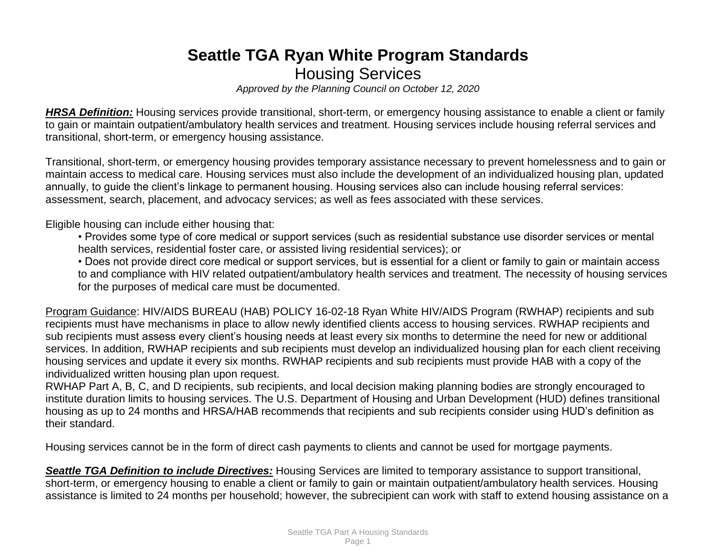# **Seattle TGA Ryan White Program Standards** Housing Services

*Approved by the Planning Council on October 12, 2020*

*HRSA Definition:* Housing services provide transitional, short-term, or emergency housing assistance to enable a client or family to gain or maintain outpatient/ambulatory health services and treatment. Housing services include housing referral services and transitional, short-term, or emergency housing assistance.

Transitional, short-term, or emergency housing provides temporary assistance necessary to prevent homelessness and to gain or maintain access to medical care. Housing services must also include the development of an individualized housing plan, updated annually, to guide the client's linkage to permanent housing. Housing services also can include housing referral services: assessment, search, placement, and advocacy services; as well as fees associated with these services.

Eligible housing can include either housing that:

• Provides some type of core medical or support services (such as residential substance use disorder services or mental health services, residential foster care, or assisted living residential services); or

• Does not provide direct core medical or support services, but is essential for a client or family to gain or maintain access to and compliance with HIV related outpatient/ambulatory health services and treatment. The necessity of housing services for the purposes of medical care must be documented.

Program Guidance: HIV/AIDS BUREAU (HAB) POLICY 16-02-18 Ryan White HIV/AIDS Program (RWHAP) recipients and sub recipients must have mechanisms in place to allow newly identified clients access to housing services. RWHAP recipients and sub recipients must assess every client's housing needs at least every six months to determine the need for new or additional services. In addition, RWHAP recipients and sub recipients must develop an individualized housing plan for each client receiving housing services and update it every six months. RWHAP recipients and sub recipients must provide HAB with a copy of the individualized written housing plan upon request.

RWHAP Part A, B, C, and D recipients, sub recipients, and local decision making planning bodies are strongly encouraged to institute duration limits to housing services. The U.S. Department of Housing and Urban Development (HUD) defines transitional housing as up to 24 months and HRSA/HAB recommends that recipients and sub recipients consider using HUD's definition as their standard.

Housing services cannot be in the form of direct cash payments to clients and cannot be used for mortgage payments.

*Seattle TGA Definition to include Directives:* Housing Services are limited to temporary assistance to support transitional, short-term, or emergency housing to enable a client or family to gain or maintain outpatient/ambulatory health services. Housing assistance is limited to 24 months per household; however, the subrecipient can work with staff to extend housing assistance on a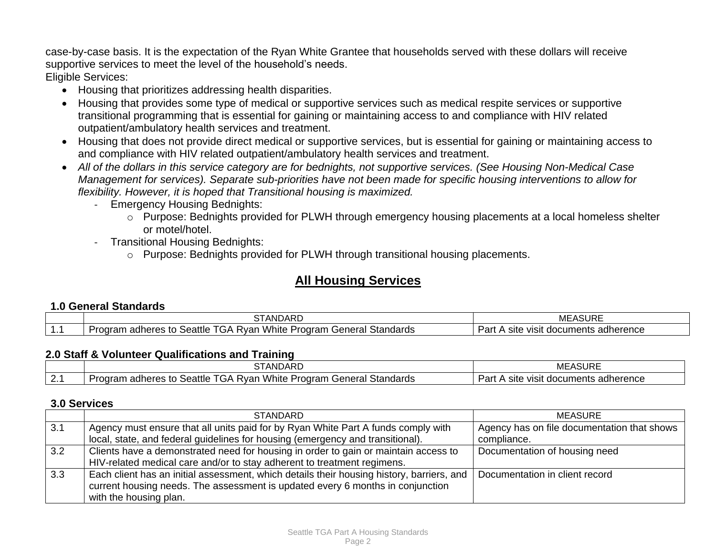case-by-case basis. It is the expectation of the Ryan White Grantee that households served with these dollars will receive supportive services to meet the level of the household's needs. Eligible Services:

- Housing that prioritizes addressing health disparities.
- Housing that provides some type of medical or supportive services such as medical respite services or supportive transitional programming that is essential for gaining or maintaining access to and compliance with HIV related outpatient/ambulatory health services and treatment.
- Housing that does not provide direct medical or supportive services, but is essential for gaining or maintaining access to and compliance with HIV related outpatient/ambulatory health services and treatment.
- *All of the dollars in this service category are for bednights, not supportive services. (See Housing Non-Medical Case Management for services). Separate sub-priorities have not been made for specific housing interventions to allow for flexibility. However, it is hoped that Transitional housing is maximized.*
	- Emergency Housing Bednights:
		- o Purpose: Bednights provided for PLWH through emergency housing placements at a local homeless shelter or motel/hotel.
	- Transitional Housing Bednights:
		- o Purpose: Bednights provided for PLWH through transitional housing placements.

# **All Housing Services**

## **1.0 General Standards**

|     | <b>ANDARL</b>                                                                                                                              | <b>ASURE</b><br>ME                                                             |
|-----|--------------------------------------------------------------------------------------------------------------------------------------------|--------------------------------------------------------------------------------|
| . . | <br>Seattle<br>$\cdot$ $\wedge$<br>ıeral<br>Standards<br>White<br>rogram<br>adherer<br>`_n<br>≺var<br>το<br>.<br>param<br>uu<br>. ⁄ات<br>. | $\overline{\phantom{a}}$<br>s adherence<br>Par.<br>documents<br>.SIte<br>VISIt |

#### **2.0 Staff & Volunteer Qualifications and Training**

|                    | .<br>ANDARD                                                                                                             | $\cdots$ $-$<br>.<br>ME/<br>ASURL            |
|--------------------|-------------------------------------------------------------------------------------------------------------------------|----------------------------------------------|
| $\sim$<br><u>.</u> | Seattle<br>White<br>Standards<br>Program<br>∵onerai U<br>neres<br>roaram<br>Rva<br>adl<br>۱۳ پ<br><b>GA</b><br>טע.<br>. | ; adherence<br>site<br>VISIt<br>ments:<br>σн |

#### **3.0 Services**

|     | <b>STANDARD</b>                                                                           | MEASURE                                     |
|-----|-------------------------------------------------------------------------------------------|---------------------------------------------|
| 3.1 | Agency must ensure that all units paid for by Ryan White Part A funds comply with         | Agency has on file documentation that shows |
|     | local, state, and federal guidelines for housing (emergency and transitional).            | compliance.                                 |
| 3.2 | Clients have a demonstrated need for housing in order to gain or maintain access to       | Documentation of housing need               |
|     | HIV-related medical care and/or to stay adherent to treatment regimens.                   |                                             |
| 3.3 | Each client has an initial assessment, which details their housing history, barriers, and | Documentation in client record              |
|     | current housing needs. The assessment is updated every 6 months in conjunction            |                                             |
|     | with the housing plan.                                                                    |                                             |